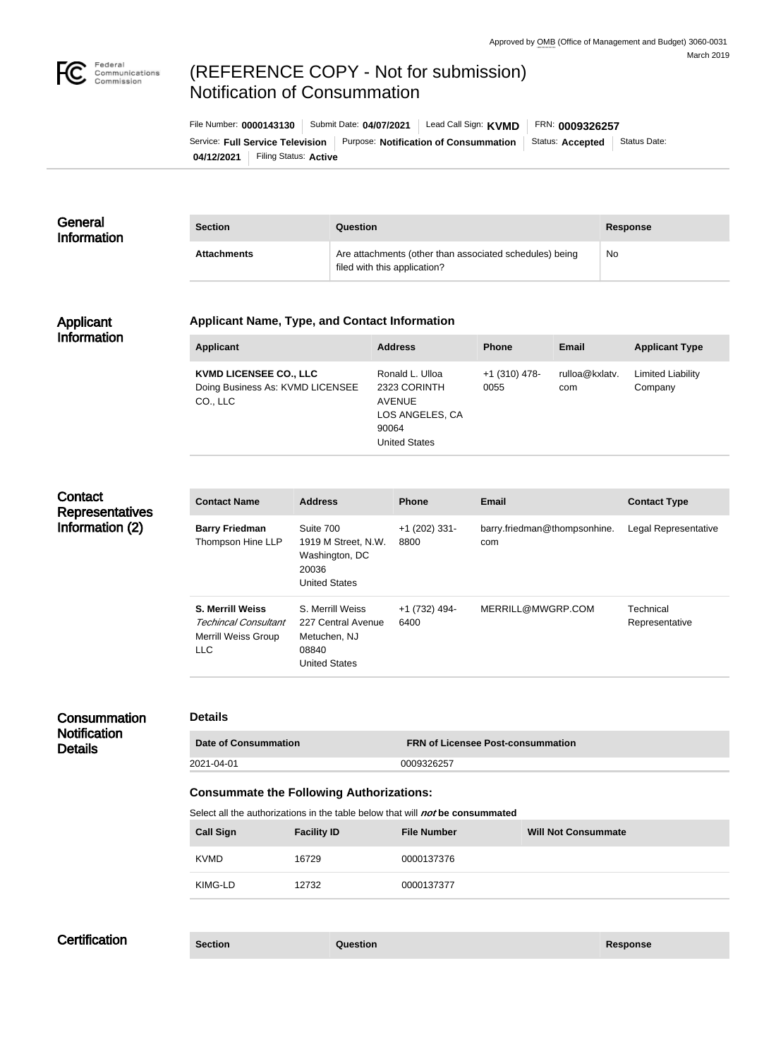

# (REFERENCE COPY - Not for submission) Notification of Consummation

**04/12/2021** Filing Status: **Active** Service: Full Service Television | Purpose: Notification of Consummation | Status: Accepted | Status Date: File Number: **0000143130** Submit Date: **04/07/2021** Lead Call Sign: **KVMD** FRN: **0009326257**

| General<br><b>Information</b> | <b>Section</b>     | Question                                                                                | <b>Response</b> |
|-------------------------------|--------------------|-----------------------------------------------------------------------------------------|-----------------|
|                               | <b>Attachments</b> | Are attachments (other than associated schedules) being<br>filed with this application? | <b>No</b>       |

#### Applicant Information

# **Applicant Name, Type, and Contact Information**

| <b>Applicant</b>                                                              | <b>Address</b>                                                                                       | <b>Phone</b>            | <b>Email</b>          | <b>Applicant Type</b>               |
|-------------------------------------------------------------------------------|------------------------------------------------------------------------------------------------------|-------------------------|-----------------------|-------------------------------------|
| <b>KVMD LICENSEE CO., LLC</b><br>Doing Business As: KVMD LICENSEE<br>CO., LLC | Ronald L. Ulloa<br>2323 CORINTH<br><b>AVENUE</b><br>LOS ANGELES, CA<br>90064<br><b>United States</b> | $+1$ (310) 478-<br>0055 | rulloa@kxlatv.<br>com | <b>Limited Liability</b><br>Company |

# **Contact Representatives** Information (2)

| <b>Contact Name</b>                                                                  | <b>Address</b>                                                                          | <b>Phone</b>            | <b>Email</b>                        | <b>Contact Type</b>         |
|--------------------------------------------------------------------------------------|-----------------------------------------------------------------------------------------|-------------------------|-------------------------------------|-----------------------------|
| <b>Barry Friedman</b><br>Thompson Hine LLP                                           | Suite 700<br>1919 M Street, N.W.<br>Washington, DC<br>20036<br><b>United States</b>     | $+1$ (202) 331-<br>8800 | barry.friedman@thompsonhine.<br>com | Legal Representative        |
| <b>S. Merrill Weiss</b><br>Techincal Consultant<br>Merrill Weiss Group<br><b>LLC</b> | S. Merrill Weiss<br>227 Central Avenue<br>Metuchen, NJ<br>08840<br><b>United States</b> | +1 (732) 494-<br>6400   | MERRILL@MWGRP.COM                   | Technical<br>Representative |

#### **Consummation Notification Details**

#### **Details**

| <b>Date of Consummation</b> | <b>FRN of Licensee Post-consummation</b> |
|-----------------------------|------------------------------------------|
| 2021-04-01                  | 0009326257                               |

### **Consummate the Following Authorizations:**

Select all the authorizations in the table below that will *not* be consummated

| <b>Call Sign</b> | <b>Facility ID</b> | <b>File Number</b> | <b>Will Not Consummate</b> |
|------------------|--------------------|--------------------|----------------------------|
| <b>KVMD</b>      | 16729              | 0000137376         |                            |
| KIMG-LD          | 12732              | 0000137377         |                            |

# **Certification**

**Section Question Response**